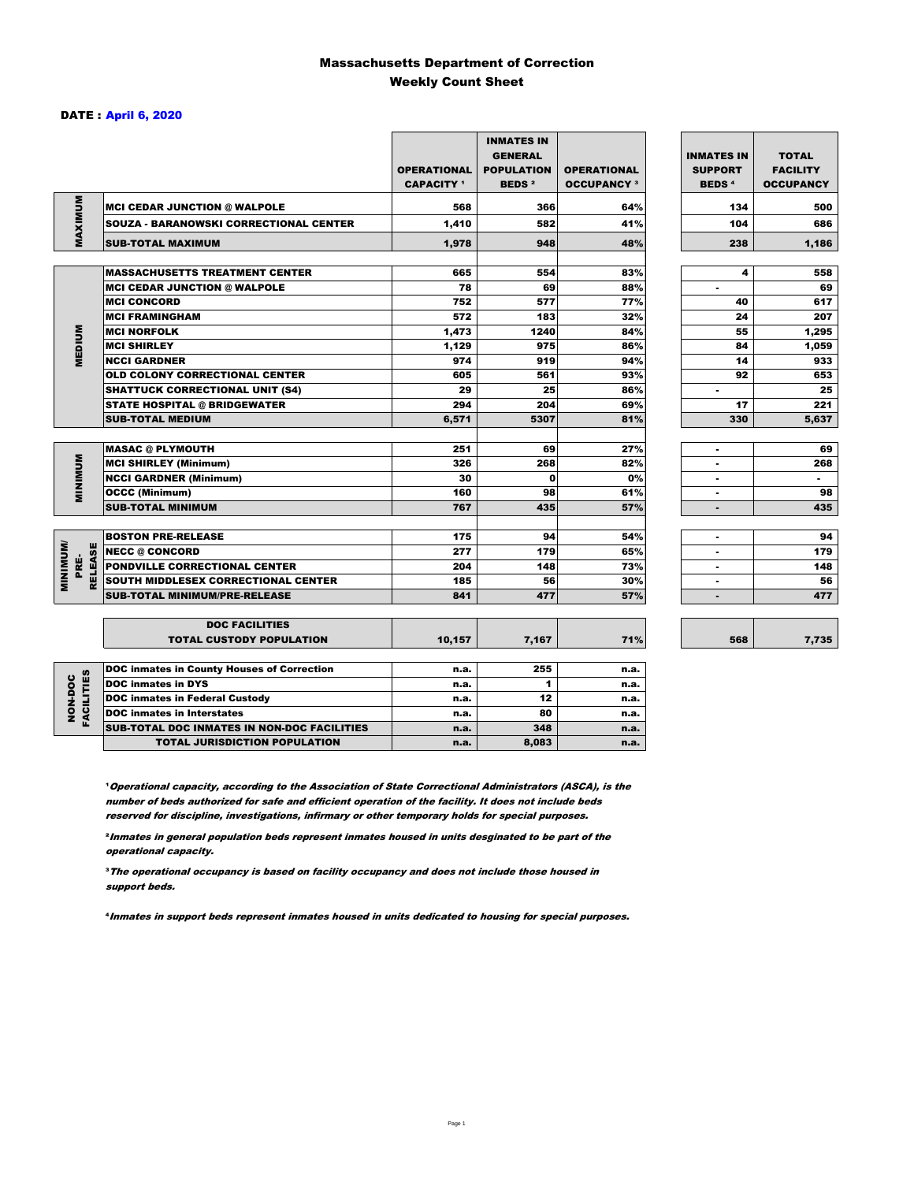#### Massachusetts Department of Correction Weekly Count Sheet

#### DATE : April 6, 2020

|                                   |                                                   | <b>OPERATIONAL</b><br><b>CAPACITY</b> 1 | <b>INMATES IN</b><br><b>GENERAL</b><br><b>POPULATION</b><br><b>BEDS<sup>2</sup></b> | <b>OPERATIONAL</b><br><b>OCCUPANCY 3</b> | <b>INMATES IN</b><br><b>SUPPORT</b><br><b>BEDS<sup>4</sup></b> | <b>TOTAL</b><br><b>FACILITY</b><br><b>OCCUPANCY</b> |
|-----------------------------------|---------------------------------------------------|-----------------------------------------|-------------------------------------------------------------------------------------|------------------------------------------|----------------------------------------------------------------|-----------------------------------------------------|
| MAXIMUM                           | <b>MCI CEDAR JUNCTION @ WALPOLE</b>               | 568                                     | 366                                                                                 | 64%                                      | 134                                                            | 500                                                 |
|                                   | <b>SOUZA - BARANOWSKI CORRECTIONAL CENTER</b>     | 1,410                                   | 582                                                                                 | 41%                                      | 104                                                            | 686                                                 |
|                                   | <b>SUB-TOTAL MAXIMUM</b>                          | 1,978                                   | 948                                                                                 | 48%                                      | 238                                                            | 1,186                                               |
|                                   |                                                   |                                         |                                                                                     |                                          |                                                                |                                                     |
|                                   | <b>MASSACHUSETTS TREATMENT CENTER</b>             | 665                                     | 554                                                                                 | 83%                                      | 4                                                              | 558                                                 |
|                                   | <b>MCI CEDAR JUNCTION @ WALPOLE</b>               | 78                                      | 69                                                                                  | 88%                                      | $\blacksquare$                                                 | 69                                                  |
|                                   | <b>MCI CONCORD</b>                                | 752                                     | 577                                                                                 | 77%                                      | 40                                                             | 617                                                 |
|                                   | <b>MCI FRAMINGHAM</b>                             | 572                                     | 183                                                                                 | 32%                                      | 24                                                             | 207                                                 |
| <b>MEDIUM</b>                     | <b>MCI NORFOLK</b>                                | 1,473                                   | 1240                                                                                | 84%                                      | 55                                                             | 1,295                                               |
|                                   | <b>MCI SHIRLEY</b>                                | 1,129                                   | 975                                                                                 | 86%                                      | 84                                                             | 1,059                                               |
|                                   | <b>NCCI GARDNER</b>                               | 974                                     | 919                                                                                 | 94%                                      | 14                                                             | 933                                                 |
|                                   | <b>OLD COLONY CORRECTIONAL CENTER</b>             | 605                                     | 561                                                                                 | 93%                                      | 92                                                             | 653                                                 |
|                                   | <b>SHATTUCK CORRECTIONAL UNIT (S4)</b>            | 29                                      | 25                                                                                  | 86%                                      | ٠                                                              | 25                                                  |
|                                   | <b>STATE HOSPITAL @ BRIDGEWATER</b>               | 294                                     | 204                                                                                 | 69%                                      | 17                                                             | 221                                                 |
|                                   | <b>SUB-TOTAL MEDIUM</b>                           | 6.571                                   | 5307                                                                                | 81%                                      | 330                                                            | 5,637                                               |
|                                   | <b>MASAC @ PLYMOUTH</b>                           | 251                                     | 69                                                                                  | 27%                                      |                                                                | 69                                                  |
|                                   | <b>MCI SHIRLEY (Minimum)</b>                      | 326                                     | 268                                                                                 | 82%                                      | $\blacksquare$                                                 | 268                                                 |
| <b>MINIMUM</b>                    | <b>NCCI GARDNER (Minimum)</b>                     | 30                                      | $\Omega$                                                                            | 0%                                       | $\blacksquare$                                                 | $\sim$                                              |
|                                   | <b>OCCC (Minimum)</b>                             | 160                                     | 98                                                                                  | 61%                                      | $\blacksquare$                                                 | 98                                                  |
|                                   | <b>SUB-TOTAL MINIMUM</b>                          | 767                                     | 435                                                                                 | 57%                                      | $\blacksquare$                                                 | 435                                                 |
|                                   |                                                   |                                         |                                                                                     |                                          |                                                                |                                                     |
|                                   | <b>BOSTON PRE-RELEASE</b>                         | 175                                     | 94                                                                                  | 54%                                      | $\overline{\phantom{a}}$                                       | 94                                                  |
|                                   | <b>NECC @ CONCORD</b>                             | 277                                     | 179                                                                                 | 65%                                      |                                                                | 179                                                 |
| PRE-                              | PONDVILLE CORRECTIONAL CENTER                     | 204                                     | 148                                                                                 | 73%                                      | ٠                                                              | 148                                                 |
| <b>MINIMINU</b><br><b>RELEASE</b> | SOUTH MIDDLESEX CORRECTIONAL CENTER               | 185                                     | 56                                                                                  | 30%                                      | ٠                                                              | 56                                                  |
|                                   | <b>SUB-TOTAL MINIMUM/PRE-RELEASE</b>              | 841                                     | 477                                                                                 | 57%                                      |                                                                | 477                                                 |
|                                   | <b>DOC FACILITIES</b>                             |                                         |                                                                                     |                                          |                                                                |                                                     |
|                                   | <b>TOTAL CUSTODY POPULATION</b>                   | 10,157                                  | 7,167                                                                               | 71%                                      | 568                                                            | 7,735                                               |
|                                   | <b>DOC inmates in County Houses of Correction</b> | n.a.                                    | 255                                                                                 | n.a.                                     |                                                                |                                                     |
|                                   | <b>DOC</b> inmates in DYS                         | n.a.                                    | 1                                                                                   | n.a.                                     |                                                                |                                                     |
| <b>FACILITIES</b><br>NON-DOC      | <b>DOC inmates in Federal Custody</b>             | n.a.                                    | 12                                                                                  | n.a.                                     |                                                                |                                                     |
|                                   | <b>DOC</b> inmates in Interstates                 | n.a.                                    | 80                                                                                  | n.a.                                     |                                                                |                                                     |
|                                   | CUB TOTAL BOO INIMETED IN NON-BOO FAOILITIED      |                                         | 240                                                                                 |                                          |                                                                |                                                     |

**Operational capacity, according to the Association of State Correctional Administrators (ASCA), is the** number of beds authorized for safe and efficient operation of the facility. It does not include beds reserved for discipline, investigations, infirmary or other temporary holds for special purposes.

SUB-TOTAL DOC INMATES IN NON-DOC FACILITIES n.a. 348 n.a. n.a.

TOTAL JURISDICTION POPULATION **n.a.** 8,083 n.a.

²Inmates in general population beds represent inmates housed in units desginated to be part of the operational capacity.

³The operational occupancy is based on facility occupancy and does not include those housed in support beds.

⁴Inmates in support beds represent inmates housed in units dedicated to housing for special purposes.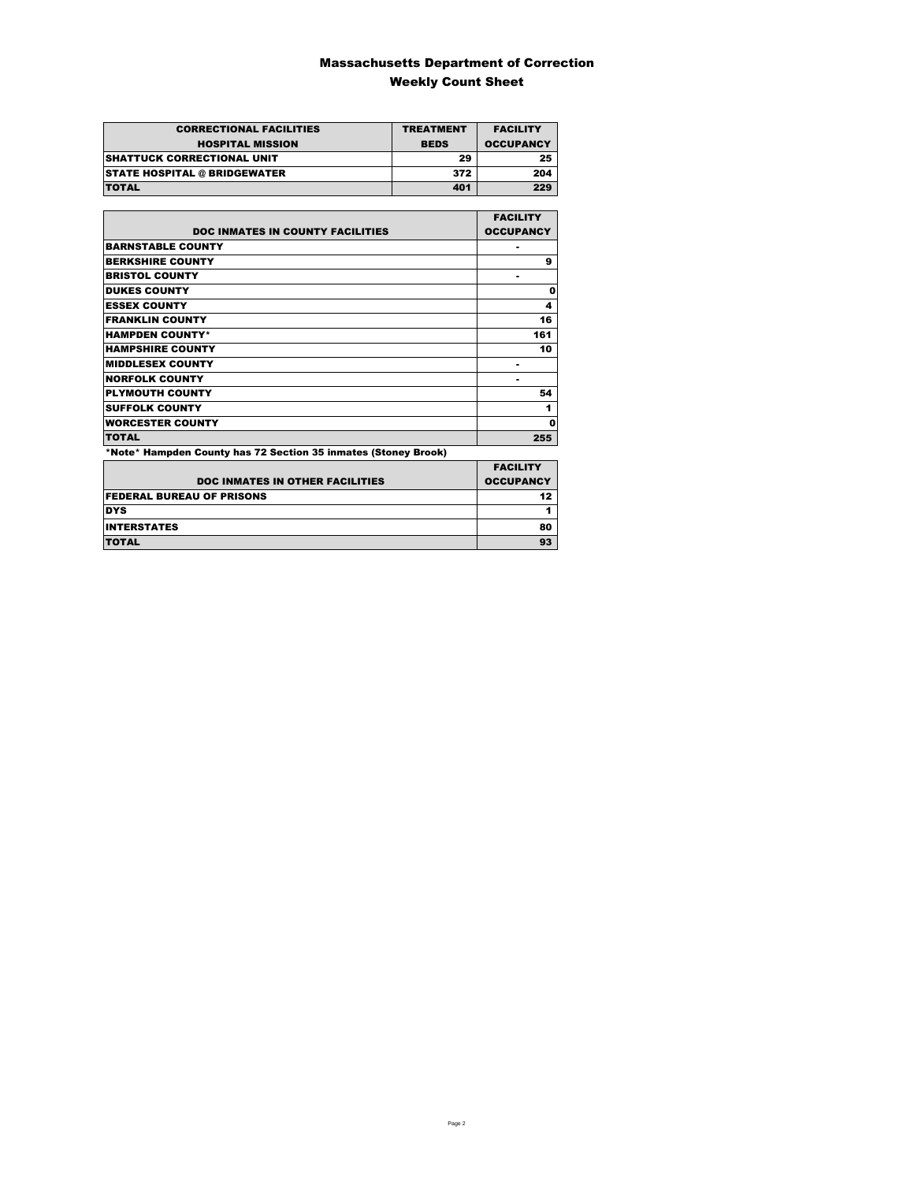### Massachusetts Department of Correction Weekly Count Sheet

| <b>CORRECTIONAL FACILITIES</b>      | <b>TREATMENT</b> | <b>FACILITY</b>  |
|-------------------------------------|------------------|------------------|
| <b>HOSPITAL MISSION</b>             | <b>BEDS</b>      | <b>OCCUPANCY</b> |
| <b>SHATTUCK CORRECTIONAL UNIT</b>   | 29               | 25               |
| <b>STATE HOSPITAL @ BRIDGEWATER</b> | 372              | 204              |
| <b>TOTAL</b>                        | 401              | 229              |

|                                                                | <b>FACILITY</b>  |
|----------------------------------------------------------------|------------------|
| <b>DOC INMATES IN COUNTY FACILITIES</b>                        | <b>OCCUPANCY</b> |
| <b>BARNSTABLE COUNTY</b>                                       |                  |
| <b>BERKSHIRE COUNTY</b>                                        | 9                |
| <b>BRISTOL COUNTY</b>                                          |                  |
| <b>DUKES COUNTY</b>                                            | 0                |
| <b>ESSEX COUNTY</b>                                            | 4                |
| <b>FRANKLIN COUNTY</b>                                         | 16               |
| <b>HAMPDEN COUNTY*</b>                                         | 161              |
| <b>HAMPSHIRE COUNTY</b>                                        | 10               |
| <b>MIDDLESEX COUNTY</b>                                        |                  |
| <b>NORFOLK COUNTY</b>                                          |                  |
| <b>PLYMOUTH COUNTY</b>                                         | 54               |
| <b>SUFFOLK COUNTY</b>                                          | 1                |
| <b>WORCESTER COUNTY</b>                                        | 0                |
| <b>TOTAL</b>                                                   | 255              |
| *Note* Hampden County has 72 Section 35 inmates (Stoney Brook) |                  |

|                                        | <b>FACILITY</b>  |
|----------------------------------------|------------------|
| <b>DOC INMATES IN OTHER FACILITIES</b> | <b>OCCUPANCY</b> |
| <b>FEDERAL BUREAU OF PRISONS</b>       | 12 <sub>2</sub>  |
| <b>DYS</b>                             |                  |
| <b>INTERSTATES</b>                     | 80               |
| <b>TOTAL</b>                           | 93               |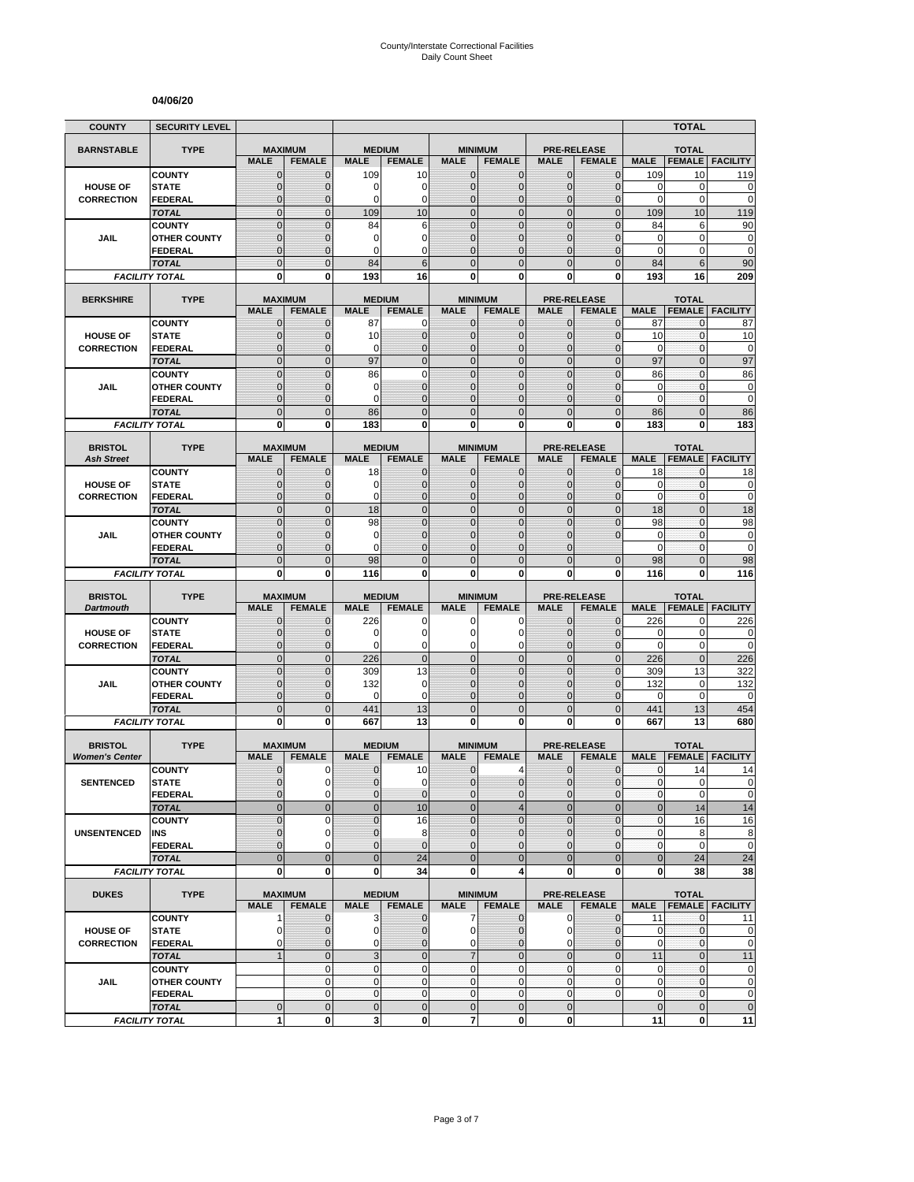#### **04/06/20**

| <b>COUNTY</b>                       | <b>SECURITY LEVEL</b>                 |                               |                                 |                              |                                |                                |                                 |                              |                                     |                      | <b>TOTAL</b>                  |                                                                     |
|-------------------------------------|---------------------------------------|-------------------------------|---------------------------------|------------------------------|--------------------------------|--------------------------------|---------------------------------|------------------------------|-------------------------------------|----------------------|-------------------------------|---------------------------------------------------------------------|
| <b>BARNSTABLE</b>                   | <b>TYPE</b>                           | <b>MAXIMUM</b>                |                                 | <b>MEDIUM</b>                |                                |                                | <b>MINIMUM</b>                  |                              | <b>PRE-RELEASE</b>                  |                      | <b>TOTAL</b>                  |                                                                     |
|                                     |                                       | <b>MALE</b>                   | <b>FEMALE</b>                   | <b>MALE</b>                  | <b>FEMALE</b>                  | <b>MALE</b>                    | <b>FEMALE</b>                   | <b>MALE</b>                  | <b>FEMALE</b>                       | <b>MALE</b>          | <b>FEMALE</b>                 | <b>FACILITY</b>                                                     |
|                                     | <b>COUNTY</b>                         | $\mathbf 0$                   | $\mathbf{0}$                    | 109                          | 10                             | $\mathbf 0$                    | 0                               | $\mathbf{0}$                 | $\mathbf{0}$                        | 109                  | 10                            | 119                                                                 |
| <b>HOUSE OF</b>                     | <b>STATE</b>                          | $\overline{0}$                | $\mathbf 0$                     | 0                            | 0                              | $\mathbf 0$                    | $\overline{0}$                  | $\mathbf{0}$                 | $\overline{0}$                      | $\mathbf 0$          | 0                             | 0                                                                   |
| <b>CORRECTION</b>                   | FEDERAL                               | $\mathbf 0$                   | $\mathbf 0$                     | 0                            | 0                              | $\mathbf 0$                    | $\mathbf 0$                     | $\mathbf 0$                  | $\overline{0}$                      | $\pmb{0}$            | $\pmb{0}$                     | $\mathbf 0$                                                         |
|                                     | <b>TOTAL</b>                          | $\mathbf 0$                   | $\mathbf{0}$                    | 109                          | 10                             | $\overline{0}$                 | $\mathbf 0$                     | $\mathbf{0}$                 | $\mathbf 0$                         | 109                  | 10                            | 119                                                                 |
|                                     | <b>COUNTY</b>                         | $\mathbf 0$<br>$\mathbf 0$    | $\mathbf{0}$<br>$\mathbf{0}$    | 84<br>0                      | 6<br>0                         | $\overline{0}$<br>$\mathbf{0}$ | $\mathbf 0$<br>$\overline{0}$   | $\mathbf 0$<br>$\mathbf 0$   | $\mathbf 0$<br>$\overline{0}$       | 84<br>$\mathbf 0$    | 6<br>$\mathbf 0$              | 90<br>$\bf{0}$                                                      |
| JAIL                                | <b>OTHER COUNTY</b><br><b>FEDERAL</b> | $\overline{0}$                | $\mathbf{0}$                    | 0                            | $\Omega$                       | $\Omega$                       | $\overline{0}$                  | $\Omega$                     | $\overline{0}$                      | $\Omega$             | 0                             | $\mathbf 0$                                                         |
|                                     | <b>TOTAL</b>                          | $\overline{0}$                | $\Omega$                        | 84                           | 6                              | $\Omega$                       | $\overline{0}$                  | $\Omega$                     | $\overline{0}$                      | 84                   | 6                             | 90                                                                  |
|                                     | <b>FACILITY TOTAL</b>                 | 0                             | 0                               | 193                          | 16                             | $\mathbf{0}$                   | 0                               | 0                            | 0                                   | 193                  | 16                            | 209                                                                 |
|                                     |                                       |                               |                                 |                              |                                |                                |                                 |                              |                                     |                      |                               |                                                                     |
| <b>BERKSHIRE</b>                    | <b>TYPE</b>                           |                               | <b>MAXIMUM</b>                  | <b>MEDIUM</b>                |                                |                                | <b>MINIMUM</b>                  |                              | <b>PRE-RELEASE</b>                  |                      | <b>TOTAL</b>                  |                                                                     |
|                                     |                                       | <b>MALE</b>                   | <b>FEMALE</b>                   | <b>MALE</b>                  | <b>FEMALE</b>                  | <b>MALE</b>                    | <b>FEMALE</b>                   | <b>MALE</b>                  | <b>FEMALE</b>                       | <b>MALE</b>          | <b>FEMALE</b>                 | <b>FACILITY</b>                                                     |
| <b>HOUSE OF</b>                     | <b>COUNTY</b><br><b>STATE</b>         | $\mathbf{0}$<br>0             | $\mathbf 0$<br>$\mathbf{0}$     | 87<br>10                     | 0<br>$\mathbf 0$               | $\mathbf{0}$<br>$\mathbf{0}$   | $\mathbf{0}$<br>$\mathbf 0$     | $\mathbf{0}$<br>$\mathbf{0}$ | $\mathbf 0$<br>$\mathbf{0}$         | 87<br>10             | 0<br>$\mathbf 0$              | 87<br>10                                                            |
| <b>CORRECTION</b>                   | <b>FEDERAL</b>                        | $\mathbf 0$                   | $\mathbf 0$                     | 0                            | $\mathbf{0}$                   | $\mathbf{0}$                   | $\overline{0}$                  | $\mathbf{0}$                 | $\overline{0}$                      | 0                    | 0                             | 0                                                                   |
|                                     | <b>TOTAL</b>                          | $\overline{0}$                | $\mathbf{0}$                    | 97                           | $\overline{0}$                 | $\overline{0}$                 | $\overline{0}$                  | $\mathbf{0}$                 | $\overline{0}$                      | 97                   | $\overline{0}$                | 97                                                                  |
|                                     | <b>COUNTY</b>                         | $\overline{0}$                | $\overline{0}$                  | 86                           | $\mathbf 0$                    | $\mathbf 0$                    | $\overline{0}$                  | $\overline{0}$               | $\overline{0}$                      | 86                   | $\mathbf{0}$                  | 86                                                                  |
| JAIL                                | <b>OTHER COUNTY</b>                   | 0                             | $\mathbf{0}$                    | 0                            | $\overline{0}$                 | $\mathbf{0}$                   | $\overline{0}$                  | $\Omega$                     | $\mathbf 0$                         | 0                    | $\mathbf{0}$                  | $\pmb{0}$                                                           |
|                                     | <b>FEDERAL</b>                        | $\mathbf 0$                   | $\mathbf{0}$                    | 0                            | $\overline{0}$                 | $\mathbf{0}$                   | $\overline{0}$                  | $\mathbf 0$                  | $\overline{0}$                      | $\mathbf 0$          | $\mathbf{0}$                  | $\mathbf 0$                                                         |
|                                     | <b>TOTAL</b>                          | $\mathbf 0$                   | $\mathbf{0}$                    | 86                           | $\overline{0}$                 | $\mathbf{0}$                   | $\mathbf 0$                     | $\mathbf{0}$                 | $\mathbf 0$                         | 86                   | $\overline{0}$                | 86                                                                  |
|                                     | <b>FACILITY TOTAL</b>                 | 0                             | $\bf{0}$                        | 183                          | 0                              | 0                              | $\bf{0}$                        | 0                            | 0                                   | 183                  | 0                             | 183                                                                 |
|                                     |                                       |                               |                                 |                              |                                |                                |                                 |                              |                                     |                      |                               |                                                                     |
| <b>BRISTOL</b><br><b>Ash Street</b> | <b>TYPE</b>                           | <b>MAXIMUM</b><br><b>MALE</b> | <b>FEMALE</b>                   | <b>MEDIUM</b><br><b>MALE</b> | <b>FEMALE</b>                  | <b>MALE</b>                    | <b>MINIMUM</b><br><b>FEMALE</b> | <b>MALE</b>                  | <b>PRE-RELEASE</b><br><b>FEMALE</b> | <b>MALE</b>          | <b>TOTAL</b><br><b>FEMALE</b> | <b>FACILITY</b>                                                     |
|                                     | <b>COUNTY</b>                         | 0                             | $\mathbf{0}$                    | 18                           | 0                              | $\mathbf 0$                    | 0                               | $\mathbf{0}$                 | $\overline{0}$                      | 18                   | 0                             | 18                                                                  |
| <b>HOUSE OF</b>                     | <b>STATE</b>                          | $\mathbf{0}$                  | $\mathbf{0}$                    | 0                            | $\mathbf 0$                    | $\mathbf{0}$                   | $\mathbf{0}$                    | $\mathbf{0}$                 | $\mathbf{0}$                        | 0                    | 0                             | 0                                                                   |
| <b>CORRECTION</b>                   | <b>FEDERAL</b>                        | $\mathbf{0}$                  | $\mathbf{0}$                    | 0                            | $\mathbf{0}$                   | $\mathbf{0}$                   | $\overline{0}$                  | $\mathbf{0}$                 | $\overline{0}$                      | $\mathbf 0$          | 0                             | $\mathbf 0$                                                         |
|                                     | <b>TOTAL</b>                          | $\overline{0}$                | $\mathbf{0}$                    | 18                           | $\overline{0}$                 | $\mathbf 0$                    | $\overline{0}$                  | $\mathbf{0}$                 | $\overline{0}$                      | 18                   | $\overline{0}$                | 18                                                                  |
|                                     | <b>COUNTY</b>                         | $\overline{0}$                | $\Omega$                        | 98                           | $\overline{0}$                 | $\mathbf 0$                    | $\overline{0}$                  | $\overline{0}$               | $\overline{0}$                      | 98                   | $\overline{0}$                | 98                                                                  |
| JAIL                                | <b>OTHER COUNTY</b>                   | $\mathbf 0$                   | $\mathbf 0$                     | 0                            | $\overline{0}$                 | $\mathbf{0}$                   | $\overline{0}$                  | $\mathbf 0$                  | $\overline{0}$                      | $\mathbf 0$          | $\mathbf{0}$                  | $\mathbf 0$                                                         |
|                                     | <b>FEDERAL</b>                        | $\overline{0}$                | $\mathbf{0}$                    | 0                            | $\overline{0}$                 | $\Omega$                       | $\overline{0}$                  | $\Omega$                     |                                     | $\mathbf 0$          | 0                             | $\mathbf 0$                                                         |
|                                     | <b>TOTAL</b>                          | $\overline{0}$                | $\mathbf{0}$                    | 98                           | $\overline{0}$                 | $\overline{0}$                 | $\overline{0}$                  | $\overline{0}$               | $\mathbf{0}$                        | 98                   | $\overline{0}$                | 98                                                                  |
|                                     |                                       |                               |                                 |                              |                                |                                |                                 |                              |                                     |                      |                               |                                                                     |
|                                     | <b>FACILITY TOTAL</b>                 | 0                             | 0                               | 116                          | 0                              | 0                              | 0                               | 0                            | 0                                   | 116                  | 0                             | 116                                                                 |
| <b>BRISTOL</b>                      | <b>TYPE</b>                           | <b>MAXIMUM</b>                |                                 | <b>MEDIUM</b>                |                                |                                | <b>MINIMUM</b>                  |                              | <b>PRE-RELEASE</b>                  |                      | <b>TOTAL</b>                  |                                                                     |
| <b>Dartmouth</b>                    |                                       | <b>MALE</b>                   | <b>FEMALE</b>                   | <b>MALE</b>                  | <b>FEMALE</b>                  | <b>MALE</b>                    | <b>FEMALE</b>                   | <b>MALE</b>                  | <b>FEMALE</b>                       | <b>MALE</b>          | <b>FEMALE</b>                 | <b>FACILITY</b>                                                     |
|                                     | <b>COUNTY</b>                         | $\mathbf 0$                   | $\mathbf 0$                     | 226                          | 0                              | 0                              | 0                               | $\mathbf 0$                  | $\overline{0}$                      | 226                  | 0                             | 226                                                                 |
| <b>HOUSE OF</b>                     | <b>STATE</b>                          | $\mathbf 0$                   | $\mathbf{0}$                    | 0                            | $\overline{0}$                 | $\Omega$                       | 0                               | $\Omega$                     | $\mathbf{0}$                        | 0                    | $\mathbf 0$                   | 0                                                                   |
| <b>CORRECTION</b>                   | <b>FEDERAL</b>                        | $\mathbf 0$                   | $\mathbf{0}$                    | 0                            | 0                              | $\mathbf 0$                    | 0                               | $\mathbf 0$                  | $\mathbf{0}$                        | $\mathbf 0$          | 0                             |                                                                     |
|                                     | <b>TOTAL</b>                          | $\mathbf 0$                   | $\mathbf{0}$                    | 226                          | $\mathbf 0$                    | $\overline{0}$                 | $\mathbf 0$                     | $\mathbf{0}$                 | $\overline{0}$                      | 226                  | $\mathbf 0$                   | 226                                                                 |
|                                     | <b>COUNTY</b>                         | $\mathbf 0$                   | $\mathbf{0}$                    | 309                          | 13                             | $\mathbf{0}$                   | $\mathbf 0$                     | $\mathbf{0}$                 | $\mathbf 0$                         | 309                  | 13                            | 322                                                                 |
| JAIL                                | <b>OTHER COUNTY</b>                   | $\overline{0}$                | $\mathbf{0}$                    | 132                          | $\mathbf 0$<br>0               | $\mathbf{0}$<br>$\mathbf{0}$   | $\overline{0}$                  | $\mathbf 0$<br>$\mathbf 0$   | $\overline{0}$                      | 132<br>0             | 0<br>$\mathbf 0$              | 132                                                                 |
|                                     | <b>FEDERAL</b><br><b>TOTAL</b>        | $\mathbf 0$                   | $\mathbf{0}$<br>$\overline{0}$  | 0                            |                                | $\overline{0}$                 | 0                               | $\overline{0}$               | $\mathbf 0$                         |                      |                               | $\mathbf 0$                                                         |
|                                     | <b>FACILITY TOTAL</b>                 | $\mathbf 0$<br>$\mathbf{0}$   | $\mathbf{0}$                    | 441<br>667                   | 13<br>13                       | $\mathbf{0}$                   | $\mathbf 0$<br>$\bf{0}$         | 0                            | $\mathbf 0$<br>0                    | 441<br>667           | 13<br>13                      | 454<br>680                                                          |
|                                     |                                       |                               |                                 |                              |                                |                                |                                 |                              |                                     |                      |                               |                                                                     |
| <b>BRISTOL</b>                      | <b>TYPE</b>                           |                               | <b>MAXIMUM</b>                  | <b>MEDIUM</b>                |                                |                                | <b>MINIMUM</b>                  |                              | <b>PRE-RELEASE</b>                  |                      | <b>TOTAL</b>                  |                                                                     |
| <b>Women's Center</b>               |                                       | <b>MALE</b>                   | <b>FEMALE</b>                   | <b>MALE</b>                  | <b>FEMALE</b>                  | <b>MALE</b>                    | <b>FEMALE</b>                   | <b>MALE</b>                  | <b>FEMALE</b>                       | <b>MALE</b>          | <b>FEMALE</b>                 | <b>FACILITY</b>                                                     |
|                                     | <b>COUNTY</b>                         | 0                             | 0                               | 0                            | 10                             | $\mathbf 0$                    | 4                               | 0                            | $\mathbf 0$                         | 0                    | 14                            | 14                                                                  |
| <b>SENTENCED</b>                    | <b>STATE</b>                          | $\overline{0}$                | $\Omega$                        | $\overline{0}$               | $\mathbf 0$                    | $\overline{0}$                 | $\overline{0}$                  | $\mathbf{0}$                 | $\mathbf{0}$                        | $\mathbf{0}$         | $\overline{0}$                |                                                                     |
|                                     | <b>FEDERAL</b>                        | 0<br>$\mathbf 0$              | $\mathbf 0$<br>$\mathbf 0$      | 0<br>$\mathbf 0$             | $\mathbf{0}$                   | $\mathbf{0}$<br>$\mathbf 0$    | 0                               | $\mathbf 0$<br>$\mathbf{0}$  | $\mathbf 0$<br>$\mathbf 0$          | $\pmb{0}$<br>$\bf 0$ | 0                             |                                                                     |
|                                     | <b>TOTAL</b><br><b>COUNTY</b>         | $\mathbf 0$                   | $\mathbf 0$                     | $\overline{0}$               | 10<br>16                       | $\Omega$                       | 4<br>$\mathbf 0$                | $\mathbf 0$                  | $\mathbf 0$                         | $\pmb{0}$            | 14<br>16                      |                                                                     |
| <b>UNSENTENCED</b>                  | INS                                   | 0                             | $\mathbf 0$                     | $\pmb{0}$                    | 8                              | $\mathbf 0$                    | 0                               | $\mathbf{0}$                 | $\mathbf 0$                         | $\pmb{0}$            | 8                             |                                                                     |
|                                     | <b>FEDERAL</b>                        | $\overline{0}$                | $\Omega$                        | 0                            | $\mathbf{0}$                   | $\mathbf{0}$                   | $\overline{0}$                  | $\mathbf{0}$                 | $\mathbf 0$                         | $\pmb{0}$            | $\pmb{0}$                     |                                                                     |
|                                     | <b>TOTAL</b>                          | $\overline{0}$                | $\mathbf{0}$                    | $\mathbf 0$                  | 24                             | $\overline{0}$                 | $\mathbf{0}$                    | $\overline{0}$               | $\mathbf 0$                         | $\bf 0$              | 24                            | $\mathbf 0$<br>0<br>$\pmb{0}$<br>14<br>16<br>8<br>$\mathbf 0$<br>24 |
|                                     | <b>FACILITY TOTAL</b>                 | 0                             | $\mathbf{0}$                    | 0                            | 34                             | $\mathbf{0}$                   | 4                               | $\mathbf 0$                  | 0                                   | 0                    | 38                            |                                                                     |
|                                     |                                       |                               |                                 |                              |                                |                                |                                 |                              |                                     |                      |                               | 38                                                                  |
| <b>DUKES</b>                        | <b>TYPE</b>                           | <b>MALE</b>                   | <b>MAXIMUM</b><br><b>FEMALE</b> | <b>MALE</b>                  | <b>MEDIUM</b><br><b>FEMALE</b> | <b>MALE</b>                    | <b>MINIMUM</b><br><b>FEMALE</b> | <b>MALE</b>                  | <b>PRE-RELEASE</b><br><b>FEMALE</b> | <b>MALE</b>          | <b>TOTAL</b>                  | <b>FEMALE FACILITY</b>                                              |
|                                     | <b>COUNTY</b>                         | 1                             | $\mathbf{0}$                    | 3                            | $\mathbf 0$                    | $\overline{7}$                 | $\mathbf 0$                     | $\mathbf 0$                  | $\mathbf 0$                         | 11                   | $\mathbf{0}$                  | 11                                                                  |
| <b>HOUSE OF</b>                     | <b>STATE</b>                          | 0                             | $\mathbf 0$                     | $\pmb{0}$                    | $\mathbf 0$                    | $\overline{0}$                 | 0                               | 0                            | $\mathbf 0$                         | 0                    | 0                             |                                                                     |
| <b>CORRECTION</b>                   | <b>FEDERAL</b>                        | 0                             | $\mathbf{0}$                    | 0                            | $\mathbf{0}$                   | $\overline{0}$                 | $\mathbf 0$                     | $\mathbf 0$                  | $\mathbf 0$                         | $\pmb{0}$            | 0                             |                                                                     |
|                                     | <b>TOTAL</b>                          | $\mathbf{1}$                  | $\mathbf 0$                     | $\overline{3}$               | $\mathbf 0$                    | $\overline{7}$                 | $\mathbf 0$                     | $\mathbf 0$                  | $\mathbf 0$                         | 11                   | $\mathbf 0$                   | 11                                                                  |
|                                     | <b>COUNTY</b>                         |                               | $\mathbf 0$                     | 0                            | $\mathbf 0$                    | $\overline{0}$                 | $\mathbf{0}$                    | $\pmb{0}$                    | 0                                   | $\mathbf 0$          | $\pmb{0}$                     | $\pmb{0}$<br>$\mathbf 0$<br>$\pmb{0}$                               |
| JAIL                                | <b>OTHER COUNTY</b>                   |                               | $\overline{0}$                  | $\mathbf 0$                  | $\mathbf 0$                    | $\overline{0}$                 | $\mathbf{0}$                    | $\mathbf{0}$                 | $\mathbf 0$                         | $\mathbf 0$          | $\mathbf{0}$                  | $\pmb{0}$                                                           |
|                                     | <b>FEDERAL</b><br><b>TOTAL</b>        | $\mathbf 0$                   | $\mathbf 0$<br>$\mathbf 0$      | 0<br>$\pmb{0}$               | $\mathbf 0$<br>$\mathbf 0$     | $\overline{0}$<br>$\mathbf{0}$ | 0<br>$\mathbf 0$                | $\mathbf 0$<br>$\mathbf 0$   | 0                                   | 0<br>$\pmb{0}$       | $\pmb{0}$<br>$\mathbf 0$      | $\pmb{0}$<br>$\mathbf 0$                                            |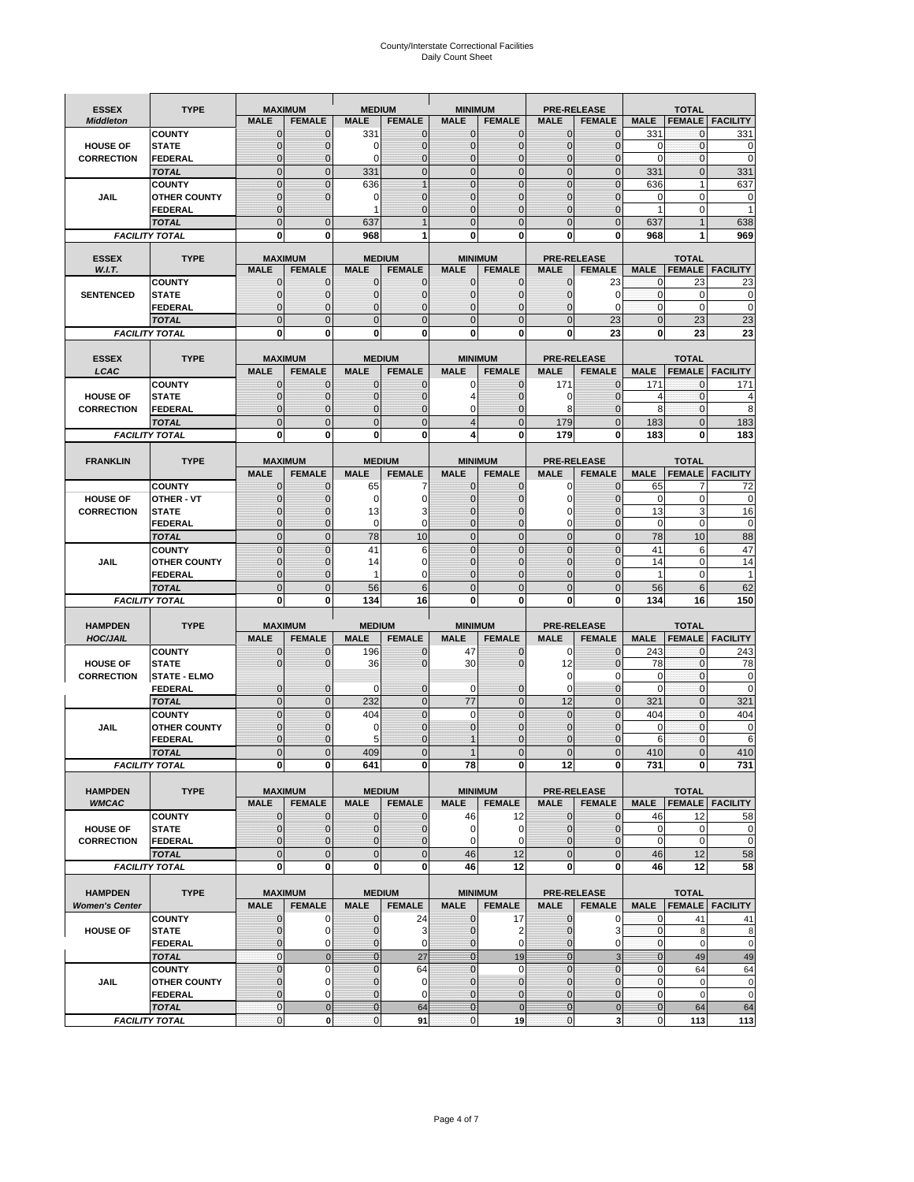# County/Interstate Correctional Facilities Daily Count Sheet

| <b>ESSEX</b>                         | <b>TYPE</b>                           |                                  | <b>MAXIMUM</b>                 | <b>MEDIUM</b>                    |                               | <b>MINIMUM</b>                 |                             |                              | <b>PRE-RELEASE</b>             |                              | <b>TOTAL</b>                 |                          |
|--------------------------------------|---------------------------------------|----------------------------------|--------------------------------|----------------------------------|-------------------------------|--------------------------------|-----------------------------|------------------------------|--------------------------------|------------------------------|------------------------------|--------------------------|
| <b>Middleton</b>                     |                                       | <b>MALE</b>                      | <b>FEMALE</b>                  | <b>MALE</b>                      | <b>FEMALE</b>                 | <b>MALE</b>                    | <b>FEMALE</b>               | <b>MALE</b>                  | <b>FEMALE</b>                  | <b>MALE</b>                  |                              | <b>FEMALE FACILITY</b>   |
|                                      | <b>COUNTY</b>                         | 0                                | $\mathbf 0$                    | 331                              | 0                             | $\mathbf{0}$                   | $\mathbf{0}$                | $\mathbf{0}$                 | $\Omega$                       | 331                          | 0                            | 331                      |
| <b>HOUSE OF</b>                      | <b>STATE</b>                          | 0                                | $\mathbf 0$                    | $\Omega$                         | 0                             | $\mathbf 0$                    | $\mathbf{0}$                | $\mathbf{0}$                 | $\Omega$                       | $\Omega$                     | $\mathbf{0}$                 | 0                        |
| <b>CORRECTION</b>                    | <b>FEDERAL</b>                        | $\Omega$<br>$\mathbf 0$          | $\mathbf 0$<br>$\overline{0}$  | $\Omega$                         | $\overline{0}$<br>$\mathbf 0$ | $\mathbf{0}$<br>$\mathbf{0}$   | $\mathbf{0}$<br>$\mathbf 0$ | $\mathbf{0}$<br>$\mathbf 0$  | $\Omega$<br>$\overline{0}$     | $\Omega$                     | $\mathbf{0}$<br>$\mathbf{0}$ | $\mathbf 0$<br>331       |
|                                      | <b>TOTAL</b><br><b>COUNTY</b>         | $\mathbf 0$                      | $\mathbf{0}$                   | 331<br>636                       | $\overline{1}$                | $\mathbf{0}$                   | $\mathbf 0$                 | $\mathbf{0}$                 | $\mathbf 0$                    | 331<br>636                   | $\mathbf{1}$                 | 637                      |
| JAIL                                 | <b>OTHER COUNTY</b>                   | $\mathbf{0}$                     | $\mathbf 0$                    | 0                                | 0                             | $\mathbf{0}$                   | $\Omega$                    | $\mathbf{0}$                 | ſ                              | $\Omega$                     | $\Omega$                     | 0                        |
|                                      | <b>FEDERAL</b>                        | $\mathbf{0}$                     |                                | 1                                | $\Omega$                      | $\mathbf 0$                    | $\mathbf 0$                 | $\mathbf{0}$                 | $\mathbf 0$                    | 1                            | 0                            | 1                        |
|                                      | <b>TOTAL</b>                          | $\Omega$                         | $\overline{0}$                 | 637                              | 1                             | $\mathbf{0}$                   | $\Omega$                    | $\overline{0}$               | $\Omega$                       | 637                          |                              | 638                      |
|                                      | <b>FACILITY TOTAL</b>                 | 0                                | 0                              | 968                              | 1                             | $\bf{0}$                       | 0                           | 0                            | 0                              | 968                          |                              | 969                      |
| <b>ESSEX</b>                         | <b>TYPE</b>                           |                                  | <b>MAXIMUM</b>                 |                                  | <b>MEDIUM</b>                 |                                | <b>MINIMUM</b>              |                              | <b>PRE-RELEASE</b>             |                              | <b>TOTAL</b>                 |                          |
| W.I.T.                               |                                       | <b>MALE</b>                      | <b>FEMALE</b>                  | <b>MALE</b>                      | <b>FEMALE</b>                 | <b>MALE</b>                    | <b>FEMALE</b>               | <b>MALE</b>                  | <b>FEMALE</b>                  | <b>MALE</b>                  | <b>FEMALE</b>                | <b>FACILITY</b>          |
|                                      | <b>COUNTY</b>                         | $\mathbf{0}$                     | 0                              | $\mathbf 0$                      | $\mathbf{0}$                  | $\mathbf{0}$                   | $\mathbf{0}$                | 0                            | 23                             | 0                            | 23                           | 23                       |
| <b>SENTENCED</b>                     | <b>STATE</b>                          | 0                                | $\overline{0}$                 | $\mathbf{0}$                     | 0                             | $\mathbf{0}$                   | $\mathbf{0}$                | $\mathbf 0$                  | 0                              | $\mathbf{0}$                 | $\mathbf 0$                  | $\mathbf 0$              |
|                                      | <b>FEDERAL</b><br><b>TOTAL</b>        | $\overline{0}$<br>$\overline{0}$ | $\mathbf 0$<br>$\overline{0}$  | $\Omega$<br>$\mathbf{0}$         | 0<br>$\overline{0}$           | $\mathbf{0}$<br>$\mathbf{0}$   | $\Omega$<br>$\overline{0}$  | 0<br>$\mathbf 0$             | $\Omega$                       | $\mathbf{0}$<br>$\mathbf{0}$ | $\Omega$<br>23               | $\mathbf 0$<br>23        |
|                                      | <b>FACILITY TOTAL</b>                 | $\mathbf{0}$                     | 0                              | $\bf{0}$                         | O                             | $\bf{0}$                       | 0                           | 0                            | 23<br>23                       | $\bf{0}$                     | 23                           | 23                       |
|                                      |                                       |                                  |                                |                                  |                               |                                |                             |                              |                                |                              |                              |                          |
| <b>ESSEX</b>                         | <b>TYPE</b>                           |                                  | <b>MAXIMUM</b>                 |                                  | <b>MEDIUM</b>                 |                                | <b>MINIMUM</b>              |                              | <b>PRE-RELEASE</b>             |                              | <b>TOTAL</b>                 |                          |
| LCAC                                 |                                       | <b>MALE</b>                      | <b>FEMALE</b>                  | <b>MALE</b>                      | <b>FEMALE</b>                 | <b>MALE</b>                    | <b>FEMALE</b>               | <b>MALE</b>                  | <b>FEMALE</b>                  | <b>MALE</b>                  | <b>FEMALE</b>                | <b>FACILITY</b>          |
|                                      | <b>COUNTY</b>                         | 0                                | $\mathbf 0$                    | $\mathbf{0}$                     | 0                             | $\mathbf 0$                    | $\mathbf{0}$                | 171                          | $\Omega$                       | 171                          | 0                            | 171                      |
| <b>HOUSE OF</b>                      | <b>STATE</b>                          | $\Omega$                         | $\mathbf 0$<br>$\overline{0}$  | $\Omega$                         | 0<br>0                        | 4<br>$\mathbf 0$               | $\Omega$                    | 0                            | $\Omega$                       | 4<br>8                       | $\Omega$<br>$\mathbf{0}$     | 4<br>8                   |
| <b>CORRECTION</b>                    | <b>FEDERAL</b><br><b>TOTAL</b>        | 0<br>$\overline{0}$              | $\overline{0}$                 | $\mathbf{0}$<br>$\overline{0}$   | $\overline{0}$                | $\overline{4}$                 | $\mathbf 0$<br>$\Omega$     | 8<br>179                     | $\mathbf 0$<br>$\overline{0}$  | 183                          | $\Omega$                     | 183                      |
|                                      | <b>FACILITY TOTAL</b>                 | 0                                | 0                              | 0                                | 0                             | 4                              | 0                           | 179                          | 0                              | 183                          | 0                            | 183                      |
|                                      |                                       |                                  |                                |                                  |                               |                                |                             |                              |                                |                              |                              |                          |
| <b>FRANKLIN</b>                      | <b>TYPE</b>                           |                                  | <b>MAXIMUM</b>                 |                                  | <b>MEDIUM</b>                 |                                | <b>MINIMUM</b>              |                              | <b>PRE-RELEASE</b>             |                              | <b>TOTAL</b>                 |                          |
|                                      |                                       | <b>MALE</b>                      | <b>FEMALE</b>                  | <b>MALE</b>                      | <b>FEMALE</b>                 | <b>MALE</b>                    | <b>FEMALE</b>               | <b>MALE</b>                  | <b>FEMALE</b>                  | <b>MALE</b>                  | <b>FEMALE</b>                | <b>FACILITY</b>          |
|                                      | <b>COUNTY</b>                         | 0                                | 0                              | 65                               | 7                             | $\mathbf{0}$                   | 0                           | 0                            | $\Omega$                       | 65                           | 7                            | 72                       |
| <b>HOUSE OF</b><br><b>CORRECTION</b> | <b>OTHER - VT</b><br><b>STATE</b>     | 0<br>0                           | $\overline{0}$<br>$\mathbf 0$  | 0<br>13                          | $\mathbf 0$<br>3              | $\overline{0}$<br>$\mathbf{0}$ | 0<br>$\Omega$               | $\mathbf 0$<br>0             | $\sqrt{ }$<br>$\sqrt{ }$       | $\mathbf 0$<br>13            | $\mathbf 0$<br>3             | 0<br>16                  |
|                                      | <b>FEDERAL</b>                        | $\mathbf{0}$                     | $\overline{0}$                 | 0                                | 0                             | $\mathbf{0}$                   | $\mathbf{0}$                | 0                            | $\overline{0}$                 | $\mathbf 0$                  | $\mathbf 0$                  | $\mathbf 0$              |
|                                      | <b>TOTAL</b>                          | $\mathbf 0$                      | $\mathbf{0}$                   | 78                               | 10                            | $\mathbf{0}$                   | $\overline{0}$              | $\overline{0}$               | $\overline{0}$                 | 78                           | 10                           | 88                       |
|                                      | <b>COUNTY</b>                         | $\mathbf 0$                      | $\mathbf 0$                    | 41                               | 6                             | $\mathbf{0}$                   | $\mathbf 0$                 | $\mathbf{0}$                 | $\overline{0}$                 | 41                           | 6                            | 47                       |
| <b>JAIL</b>                          | <b>OTHER COUNTY</b>                   | $\overline{0}$                   | $\mathbf 0$                    | 14                               | $\Omega$                      | $\Omega$                       | $\Omega$                    | $\mathbf 0$                  | $\sqrt{ }$                     | 14                           | $\Omega$                     | 14                       |
|                                      | <b>FEDERAL</b>                        | $\overline{0}$                   | $\overline{0}$                 | 1                                | 0                             | $\mathbf{0}$                   | $\mathbf 0$                 | $\mathbf{0}$                 | $\mathbf 0$                    | 1                            | $\mathbf 0$                  |                          |
|                                      | <b>TOTAL</b><br><b>FACILITY TOTAL</b> | $\mathbf 0$<br>0                 | $\mathbf 0$<br>0               | 56<br>134                        | 6<br>16                       | $\mathbf{0}$<br>$\bf{0}$       | $\overline{0}$<br>0         | $\mathbf 0$<br>0             | $\Omega$<br>0                  | 56<br>134                    | 6<br>16                      | 62<br>150                |
|                                      |                                       |                                  |                                |                                  |                               |                                |                             |                              |                                |                              |                              |                          |
| <b>HAMPDEN</b>                       | <b>TYPE</b>                           |                                  | <b>MAXIMUM</b>                 | <b>MEDIUM</b>                    |                               | <b>MINIMUM</b>                 |                             |                              | <b>PRE-RELEASE</b>             |                              | <b>TOTAL</b>                 |                          |
| <b>HOC/JAIL</b>                      |                                       | <b>MALE</b>                      | <b>FEMALE</b>                  | <b>MALE</b>                      | <b>FEMALE</b>                 | <b>MALE</b>                    | <b>FEMALE</b>               | <b>MALE</b>                  | <b>FEMALE</b>                  | <b>MALE</b>                  | <b>FEMALE</b>                | <b>FACILITY</b>          |
|                                      | <b>COUNTY</b>                         | $\mathbf{0}$                     | 0                              | 196                              | 0                             | 47                             | $\mathbf 0$                 | 0                            | $\Omega$                       | 243                          | $\mathbf 0$                  | 243                      |
| <b>HOUSE OF</b><br><b>CORRECTION</b> | <b>STATE</b><br><b>STATE - ELMO</b>   | $\Omega$                         | $\overline{0}$                 | 36                               | $\overline{0}$                | 30                             | $\Omega$                    | 12<br>0                      | $\Omega$<br>$\Omega$           | 78<br>0                      | $\mathbf{0}$<br>$\mathbf 0$  | 78<br>0                  |
|                                      | <b>FEDERAL</b>                        | $\mathbf{0}$                     | $\mathbf 0$                    | $\Omega$                         | 0                             | 0                              | 0                           | $\mathbf 0$                  | $\overline{0}$                 | $\Omega$                     | $\mathbf{0}$                 | $\mathbf 0$              |
|                                      | <b>TOTAL</b>                          | $\mathbf{0}$                     | $\overline{0}$                 | 232                              | $\overline{0}$                | 77                             | $\mathbf{0}$                | 12                           | $\overline{0}$                 | 321                          | $\Omega$                     | 321                      |
|                                      | <b>COUNTY</b>                         | $\Omega$                         | $\overline{0}$                 | 404                              | $\overline{0}$                | $\Omega$                       | $\Omega$                    | $\mathbf 0$                  | $\Omega$                       | 404                          | $\Omega$                     | 404                      |
| JAIL                                 | <b>OTHER COUNTY</b>                   | 0                                | $\mathbf 0$                    | 0                                | 0                             | $\mathbf{0}$                   | $\Omega$                    | $\mathbf 0$                  | $\Omega$                       | $\mathbf 0$                  | $\mathbf{0}$                 | 0                        |
|                                      | <b>FEDERAL</b>                        | $\Omega$                         | $\Omega$                       | 5                                | O                             |                                | $\Omega$                    | $\mathbf 0$                  | $\Omega$                       | 6                            | $\Omega$                     | 6                        |
|                                      | <b>TOTAL</b>                          | $\overline{0}$                   | $\mathcal{C}$                  | 409                              | $\overline{0}$                |                                | $\Omega$                    | $\overline{0}$               | 0                              | 410                          |                              | 410                      |
|                                      | <b>FACILITY TOTAL</b>                 | $\mathbf{0}$                     | 0                              | 641                              | 0                             | 78                             | 0                           | 12                           |                                | 731                          | 0                            | 731                      |
| <b>HAMPDEN</b>                       | <b>TYPE</b>                           |                                  | <b>MAXIMUM</b>                 |                                  | <b>MEDIUM</b>                 |                                | <b>MINIMUM</b>              |                              | PRE-RELEASE                    |                              | <b>TOTAL</b>                 |                          |
| <b>WMCAC</b>                         |                                       | <b>MALE</b>                      | <b>FEMALE</b>                  | <b>MALE</b>                      | <b>FEMALE</b>                 | <b>MALE</b>                    | <b>FEMALE</b>               | <b>MALE</b>                  | <b>FEMALE</b>                  | <b>MALE</b>                  |                              | <b>FEMALE   FACILITY</b> |
|                                      | <b>COUNTY</b>                         | 0                                | $\mathbf 0$                    | $\mathbf{0}$                     | 0                             | 46                             | 12                          | $\mathbf 0$                  | $\mathbf 0$                    | 46                           | 12                           | 58                       |
| <b>HOUSE OF</b>                      | <b>STATE</b>                          | 0<br>0                           | $\mathbf{0}$<br>$\overline{0}$ | $\overline{0}$<br>$\overline{0}$ | 0<br>0                        | $\pmb{0}$<br>$\mathbf 0$       | $\mathbf 0$<br>0            | $\mathbf{0}$                 | $\mathbf{0}$<br>$\overline{0}$ | $\mathbf 0$<br>$\mathbf 0$   | $\mathbf 0$<br>$\mathbf 0$   | 0<br>$\pmb{0}$           |
| <b>CORRECTION</b>                    | <b>FEDERAL</b><br><b>TOTAL</b>        | $\mathbf 0$                      | $\mathbf 0$                    | $\mathbf{0}$                     | $\mathbf 0$                   | 46                             | 12                          | $\mathbf{0}$<br>$\mathbf 0$  | $\mathbf 0$                    | 46                           | 12                           | 58                       |
|                                      | <b>FACILITY TOTAL</b>                 | 0                                | 0                              | $\mathbf{0}$                     | 0                             | 46                             | 12                          | 0                            | 0                              | 46                           | 12                           | 58                       |
|                                      |                                       |                                  |                                |                                  |                               |                                |                             |                              |                                |                              |                              |                          |
| <b>HAMPDEN</b>                       | <b>TYPE</b>                           |                                  | <b>MAXIMUM</b>                 |                                  | <b>MEDIUM</b>                 |                                | <b>MINIMUM</b>              |                              | <b>PRE-RELEASE</b>             |                              | <b>TOTAL</b>                 |                          |
| <b>Women's Center</b>                |                                       | <b>MALE</b>                      | <b>FEMALE</b>                  | <b>MALE</b>                      | <b>FEMALE</b>                 | <b>MALE</b>                    | <b>FEMALE</b>               | <b>MALE</b>                  | <b>FEMALE</b>                  | <b>MALE</b>                  |                              | <b>FEMALE   FACILITY</b> |
|                                      | <b>COUNTY</b><br><b>STATE</b>         | 0                                | 0<br>$\mathbf 0$               | 0                                | 24                            | $\bf{0}$<br>$\mathbf{0}$       | 17                          | 0<br>$\mathbf 0$             | 0                              | 0                            | 41                           | 41                       |
|                                      |                                       | $\mathbf{0}$                     |                                | $\mathbf 0$                      | 3                             | $\mathbf 0$                    | 2<br>0                      |                              | 3                              | $\mathbf{0}$<br>$\mathbf 0$  | 8                            | 8<br>$\mathbf 0$         |
| <b>HOUSE OF</b>                      |                                       |                                  |                                |                                  |                               |                                |                             |                              |                                |                              |                              |                          |
|                                      | <b>FEDERAL</b><br><b>TOTAL</b>        | 0<br>$\mathbf{0}$                | 0<br>$\mathbf{0}$              | 0<br>$\overline{0}$              | 0<br>27                       | $\overline{0}$                 | 19                          | $\mathbf{0}$<br>$\mathbf{0}$ | 0<br>3                         | $\overline{0}$               | $\mathbf 0$<br>49            | 49                       |
|                                      | <b>COUNTY</b>                         | $\mathbf 0$                      | $\mathbf 0$                    | $\mathbf{0}$                     | 64                            | $\mathbf{0}$                   | $\Omega$                    | $\overline{0}$               | $\overline{0}$                 | $\mathbf 0$                  | 64                           | 64                       |
| JAIL                                 | <b>OTHER COUNTY</b>                   | $\overline{0}$                   | $\mathbf 0$                    | $\mathbf{0}$                     | $\mathbf 0$                   | $\mathbf{0}$                   | $\mathbf{0}$                | $\mathbf{0}$                 | $\mathcal{C}$                  | $\mathbf 0$                  | $\mathbf 0$                  | 0                        |
|                                      | <b>FEDERAL</b>                        | 0                                | 0                              | $\mathbf{0}$                     | 0                             | $\mathbf 0$                    | $\mathbf{0}$                | 0                            | $\overline{0}$                 | $\mathbf 0$                  | $\mathbf 0$                  | $\mathbf 0$              |
|                                      | <b>TOTAL</b><br><b>FACILITY TOTAL</b> | $\mathbf{0}$<br>0                | $\mathbf 0$<br>0               | $\overline{0}$<br>$\pmb{0}$      | 64<br>91                      | $\bf{0}$<br>$\mathbf 0$        | $\overline{0}$<br>19        | $\bf{0}$<br>$\mathbf{0}$     | $\pmb{0}$<br>3                 | $\mathbf{0}$<br>$\pmb{0}$    | 64<br>113                    | 64<br>113                |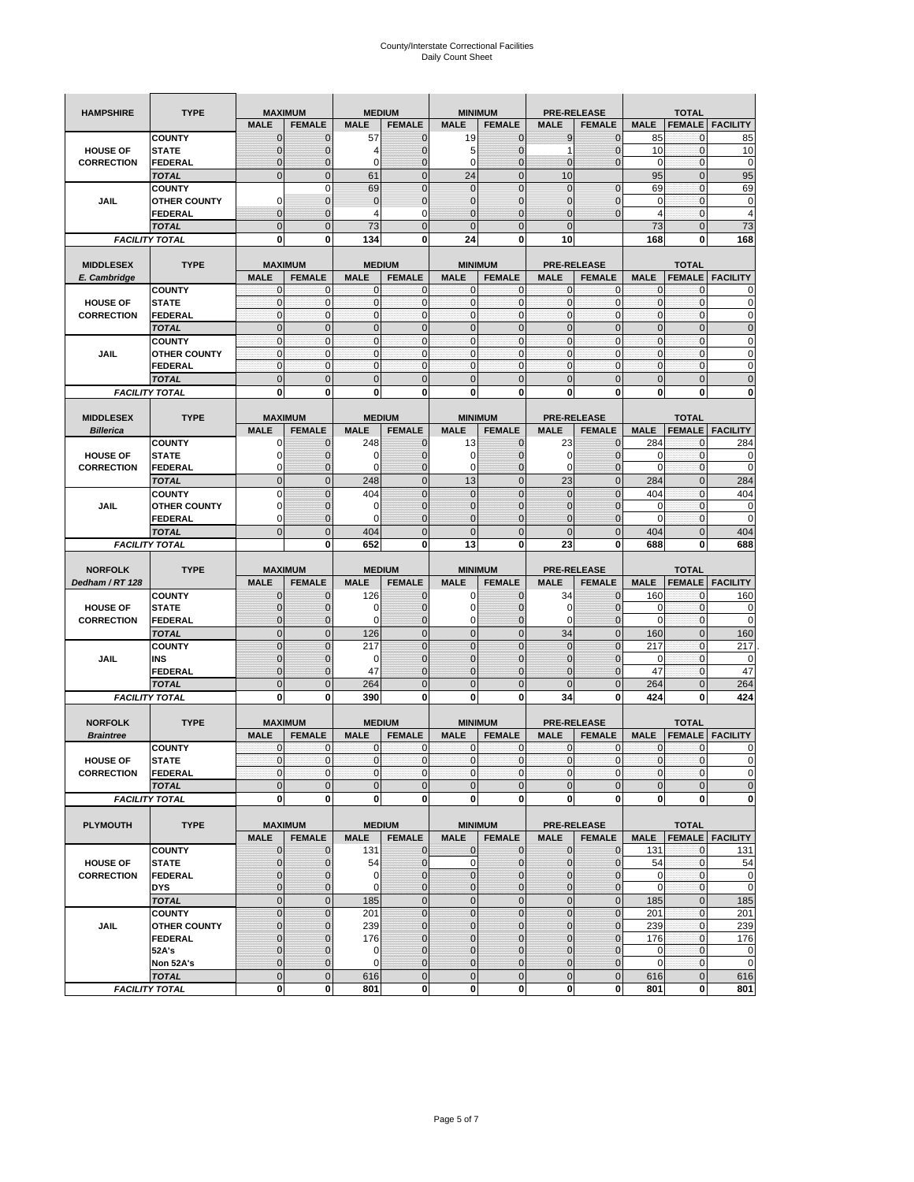| <b>HAMPSHIRE</b>  | <b>TYPE</b>                           |                             | <b>MAXIMUM</b>           |                             | <b>MEDIUM</b>    |                            | <b>MINIMUM</b>               |                  | <b>PRE-RELEASE</b>      |                             | <b>TOTAL</b>              |                                                                                                                                      |
|-------------------|---------------------------------------|-----------------------------|--------------------------|-----------------------------|------------------|----------------------------|------------------------------|------------------|-------------------------|-----------------------------|---------------------------|--------------------------------------------------------------------------------------------------------------------------------------|
|                   |                                       | <b>MALE</b>                 | <b>FEMALE</b>            | <b>MALE</b>                 | <b>FEMALE</b>    | <b>MALE</b>                | <b>FEMALE</b>                | <b>MALE</b>      | <b>FEMALE</b>           | <b>MALE</b>                 | <b>FEMALE</b>             | <b>FACILITY</b>                                                                                                                      |
|                   | <b>COUNTY</b>                         | $\mathbf 0$                 | $\mathbf 0$              | 57                          | $\mathbf 0$      | 19                         | $\mathbf 0$                  | 9                | 0                       | 85                          | $\mathbf{0}$              | 85                                                                                                                                   |
| <b>HOUSE OF</b>   | <b>STATE</b>                          | $\mathbf{0}$                | $\overline{0}$           | 4                           | $\mathbf 0$      | 5                          | $\overline{0}$               | 1                | $\overline{0}$          | 10                          | $\mathbf 0$               | 10                                                                                                                                   |
| <b>CORRECTION</b> | <b>FEDERAL</b>                        | $\mathbf{0}$                | 0                        | 0                           | $\mathbf 0$      | 0                          | $\overline{0}$               | $\mathbf{0}$     | $\mathbf 0$             | 0                           | 0                         | $\pmb{0}$                                                                                                                            |
|                   | <b>TOTAL</b>                          | $\mathbf{0}$                | $\overline{0}$           | 61                          | $\mathbf{0}$     | 24                         | $\mathbf{0}$                 | 10               |                         | 95                          | $\mathbf{0}$              | 95                                                                                                                                   |
|                   | <b>COUNTY</b>                         |                             | $\mathbf 0$              | 69                          | $\overline{0}$   | $\mathbf 0$                | $\overline{0}$               | $\mathbf 0$      | $\overline{0}$          | 69                          | $\mathbf{0}$              | 69                                                                                                                                   |
| JAIL              | <b>OTHER COUNTY</b>                   | $\Omega$                    | $\mathbf{0}$             | $\mathbf{0}$                | $\mathbf 0$      | $\mathbf{0}$               | $\mathbf 0$                  | 0                | $\mathbf 0$             | 0                           | $\mathbf 0$               | 0                                                                                                                                    |
|                   | FEDERAL                               | $\mathbf{0}$                | $\overline{0}$           | 4                           | 0                | $\overline{0}$             | $\mathbf{0}$                 | $\overline{0}$   | $\mathbf 0$             | $\overline{4}$              | $\mathbf{0}$              | $\overline{4}$                                                                                                                       |
|                   | <b>TOTAL</b>                          | $\mathbf{0}$                | $\mathbf 0$              | 73                          | $\mathbf 0$      | $\overline{0}$             | $\mathbf 0$                  | $\overline{0}$   |                         | 73                          | $\mathbf 0$               | 73                                                                                                                                   |
|                   | <b>FACILITY TOTAL</b>                 | 0                           | 0                        | 134                         | 0                | 24                         | 0                            | 10               |                         | 168                         | 0                         | 168                                                                                                                                  |
|                   |                                       |                             |                          |                             |                  |                            |                              |                  |                         |                             |                           |                                                                                                                                      |
| <b>MIDDLESEX</b>  | <b>TYPE</b>                           |                             | <b>MAXIMUM</b>           |                             | <b>MEDIUM</b>    |                            | <b>MINIMUM</b>               |                  | <b>PRE-RELEASE</b>      |                             | <b>TOTAL</b>              |                                                                                                                                      |
| E. Cambridge      |                                       | <b>MALE</b>                 | <b>FEMALE</b>            | <b>MALE</b>                 | <b>FEMALE</b>    | <b>MALE</b>                | <b>FEMALE</b>                | <b>MALE</b>      | <b>FEMALE</b>           | <b>MALE</b>                 | <b>FEMALE</b>             | <b>FACILITY</b>                                                                                                                      |
| <b>HOUSE OF</b>   | <b>COUNTY</b><br><b>STATE</b>         | 0<br>$\pmb{0}$              | 0<br>0                   | $\mathbf 0$<br>$\mathbf{0}$ | 0<br>$\mathbf 0$ | 0<br>$\mathbf 0$           | $\mathbf{0}$<br>$\mathbf 0$  | 0<br>$\mathbf 0$ | 0<br>$\mathbf 0$        | 0<br>$\pmb{0}$              | 0<br>$\bf{0}$             | 0<br>0                                                                                                                               |
| <b>CORRECTION</b> | <b>FEDERAL</b>                        | $\mathbf{0}$                | $\mathbf 0$              | $\mathbf 0$                 | $\mathbf 0$      | $\mathbf 0$                | $\mathbf{0}$                 | $\mathbf 0$      | $\mathbf 0$             | $\mathbf{0}$                | $\mathbf 0$               | $\mathbf 0$                                                                                                                          |
|                   |                                       | $\Omega$                    | $\mathbf 0$              | $\mathbf{0}$                | $\mathbf{0}$     | $\mathbf 0$                | $\mathbf 0$                  | $\mathbf{0}$     | $\overline{0}$          | $\pmb{0}$                   | $\mathbf{0}$              | $\mathbf 0$                                                                                                                          |
|                   | <b>TOTAL</b><br><b>COUNTY</b>         | $\mathbf{0}$                | $\mathbf{0}$             | $\mathbf{0}$                | $\mathbf{0}$     | $\mathbf{0}$               | $\mathbf{0}$                 | $\mathbf{0}$     | $\mathbf 0$             | $\mathbf{0}$                | $\mathbf{0}$              | 0                                                                                                                                    |
| JAIL              | <b>OTHER COUNTY</b>                   | 0                           | 0                        | $\mathbf 0$                 | 0                | $\mathbf{0}$               | $\overline{0}$               | $\mathbf{0}$     | 0                       | $\pmb{0}$                   | 0                         | 0                                                                                                                                    |
|                   | <b>FEDERAL</b>                        | $\mathbf{0}$                | $\mathbf{0}$             | $\mathbf 0$                 | $\mathbf 0$      | $\mathbf{0}$               | $\overline{0}$               | $\mathbf{0}$     | $\mathbf 0$             | $\mathbf{0}$                | $\mathbf{0}$              | 0                                                                                                                                    |
|                   | <b>TOTAL</b>                          | $\mathbf 0$                 | $\overline{0}$           | $\overline{0}$              | $\overline{0}$   | $\overline{0}$             | $\overline{0}$               | $\overline{0}$   | $\overline{0}$          | $\mathbf{0}$                | $\overline{0}$            | $\overline{0}$                                                                                                                       |
|                   | <b>FACILITY TOTAL</b>                 | 0                           | 0                        | 0                           | 0                | 0                          | 0                            | 0                | 0                       | 0                           | 0                         | 0                                                                                                                                    |
|                   |                                       |                             |                          |                             |                  |                            |                              |                  |                         |                             |                           |                                                                                                                                      |
| <b>MIDDLESEX</b>  | <b>TYPE</b>                           |                             | <b>MAXIMUM</b>           |                             | <b>MEDIUM</b>    |                            | <b>MINIMUM</b>               |                  | <b>PRE-RELEASE</b>      |                             | <b>TOTAL</b>              |                                                                                                                                      |
| <b>Billerica</b>  |                                       | <b>MALE</b>                 | <b>FEMALE</b>            | <b>MALE</b>                 | <b>FEMALE</b>    | <b>MALE</b>                | <b>FEMALE</b>                | <b>MALE</b>      | <b>FEMALE</b>           | <b>MALE</b>                 | <b>FEMALE</b>             | <b>FACILITY</b>                                                                                                                      |
|                   | <b>COUNTY</b>                         | 0                           | $\mathbf 0$              | 248                         | 0                | 13                         | $\mathbf{0}$                 | 23               | $\mathbf 0$             | 284                         | 0                         | 284                                                                                                                                  |
| <b>HOUSE OF</b>   | <b>STATE</b>                          | 0                           | $\mathbf 0$              | 0                           | $\mathbf 0$      | 0                          | 0                            | 0                | $\mathbf 0$             | 0                           | $\mathbf 0$               | 0                                                                                                                                    |
| <b>CORRECTION</b> | <b>FEDERAL</b>                        | 0                           | $\mathbf{0}$             | 0                           | 0                | 0                          | $\mathbf{0}$                 | 0                | $\mathbf 0$             | 0                           | 0                         | 0                                                                                                                                    |
|                   | <b>TOTAL</b>                          | $\mathbf{0}$                | $\mathbf 0$              | 248                         | $\mathbf 0$      | 13                         | $\overline{0}$               | 23               | $\overline{0}$          | 284                         | $\mathbf{0}$              | 284                                                                                                                                  |
|                   | <b>COUNTY</b>                         | $\Omega$                    | $\overline{0}$           | 404                         | $\Omega$         | $\overline{0}$             | $\Omega$                     | $\overline{0}$   | $\Omega$                | 404                         | $\mathbf 0$               | 404                                                                                                                                  |
| JAIL              | <b>OTHER COUNTY</b>                   | 0                           | 0                        | 0                           | $\mathbf{0}$     | $\mathbf{0}$               | $\mathbf{0}$                 | $\mathbf{0}$     | $\overline{0}$          | 0                           | 0                         | 0                                                                                                                                    |
|                   | <b>FEDERAL</b>                        | $\Omega$                    | $\mathbf 0$              | $\Omega$                    | $\mathbf 0$      | $\overline{0}$             | $\mathbf 0$                  | 0                | $\mathbf 0$             | $\Omega$                    | $\mathbf 0$               | $\mathbf 0$                                                                                                                          |
|                   | <b>TOTAL</b>                          | $\mathbf 0$                 | $\overline{0}$           | 404                         | $\overline{0}$   | $\overline{0}$             | $\overline{0}$               | $\overline{0}$   | $\overline{0}$          | 404                         | $\overline{0}$            | 404                                                                                                                                  |
|                   | <b>FACILITY TOTAL</b>                 |                             | 0                        | 652                         | 0                | 13                         | $\mathbf 0$                  | 23               | 0                       | 688                         | 0                         | 688                                                                                                                                  |
|                   |                                       |                             |                          |                             |                  |                            |                              |                  |                         |                             |                           |                                                                                                                                      |
|                   |                                       |                             |                          |                             |                  |                            |                              |                  |                         |                             |                           |                                                                                                                                      |
| <b>NORFOLK</b>    | <b>TYPE</b>                           |                             | <b>MAXIMUM</b>           |                             | <b>MEDIUM</b>    |                            | <b>MINIMUM</b>               |                  | <b>PRE-RELEASE</b>      |                             | <b>TOTAL</b>              |                                                                                                                                      |
| Dedham / RT 128   |                                       | <b>MALE</b>                 | <b>FEMALE</b>            | <b>MALE</b>                 | <b>FEMALE</b>    | <b>MALE</b>                | <b>FEMALE</b>                | <b>MALE</b>      | <b>FEMALE</b>           | <b>MALE</b>                 | <b>FEMALE</b>             | <b>FACILITY</b>                                                                                                                      |
|                   | <b>COUNTY</b>                         | 0                           | $\mathbf 0$              | 126                         | 0                | 0                          | $\mathbf{0}$                 | 34               | 0                       | 160                         | 0                         | 160                                                                                                                                  |
| <b>HOUSE OF</b>   | <b>STATE</b>                          | $\mathbf{0}$                | $\mathbf 0$              | 0                           | $\mathbf{0}$     | 0                          | $\mathbf{0}$                 | 0                | $\mathbf 0$             | 0                           | $\mathbf 0$               | 0                                                                                                                                    |
| <b>CORRECTION</b> | FEDERAL                               | $\mathbf{0}$                | 0                        | 0                           | 0                | 0                          | $\overline{0}$               | 0                | 0                       | $\mathbf 0$                 | $\mathbf 0$               | 0                                                                                                                                    |
|                   | <b>TOTAL</b>                          | $\pmb{0}$                   | $\mathbf 0$              | 126                         | $\mathbf 0$      | $\mathbf 0$                | $\overline{0}$               | 34               | $\mathbf 0$             | 160                         | $\mathbf 0$               | 160                                                                                                                                  |
|                   | <b>COUNTY</b>                         | $\Omega$                    | $\overline{0}$           | 217                         | $\overline{0}$   | $\overline{0}$             | $\Omega$                     | $\mathbf 0$      | $\overline{0}$          | 217                         | 0                         | 217                                                                                                                                  |
| JAIL              | INS                                   | $\mathbf{0}$                | 0                        | 0                           | $\mathbf{0}$     | $\mathbf{0}$               | $\mathbf{0}$                 | 0                | $\mathbf 0$             | 0                           | 0                         | 0                                                                                                                                    |
|                   | <b>FEDERAL</b>                        | $\mathbf{0}$                | $\mathbf 0$              | 47                          | $\mathbf 0$      | $\overline{0}$             | $\Omega$                     | $\mathbf 0$      | $\mathbf 0$             | 47                          | $\mathbf 0$               | 47                                                                                                                                   |
|                   | <b>TOTAL</b>                          | $\mathbf 0$                 | $\overline{0}$           | 264                         | $\overline{0}$   | $\overline{0}$             | $\overline{0}$               | $\overline{0}$   | $\overline{0}$          | 264                         | $\mathbf{0}$              | 264                                                                                                                                  |
|                   | <b>FACILITY TOTAL</b>                 | 0                           | 0                        | 390                         | 0                | 0                          | 0                            | 34               | 0                       | 424                         | 0                         | 424                                                                                                                                  |
|                   |                                       |                             |                          |                             |                  |                            |                              |                  |                         |                             |                           |                                                                                                                                      |
| <b>NORFOLK</b>    | <b>TYPE</b>                           |                             | <b>MAXIMUM</b>           |                             | <b>MEDIUM</b>    |                            | <b>MINIMUM</b>               |                  | <b>PRE-RELEASE</b>      |                             | <b>TOTAL</b>              |                                                                                                                                      |
| <b>Braintree</b>  |                                       | <b>MALE</b>                 | <b>FEMALE</b>            | <b>MALE</b>                 | <b>FEMALE</b>    | <b>MALE</b>                | <b>FEMALE</b>                | <b>MALE</b>      | <b>FEMALE</b>           | <b>MALE</b>                 | <b>FEMALE</b>             | <b>FACILITY</b>                                                                                                                      |
|                   | <b>COUNTY</b>                         | $\mathbf{0}$<br>$\Omega$    | $\mathbf{0}$<br>$\Omega$ | $\mathbf 0$<br>$\Omega$     | 0                | 0<br>$\Omega$              | $\mathbf{0}$<br>$\Omega$     | 0                | $\mathbf 0$<br>$\Omega$ | $\mathbf 0$<br>$\Omega$     | 0<br>$\Omega$             | 0                                                                                                                                    |
| <b>HOUSE OF</b>   | <b>STATE</b>                          |                             |                          |                             | $\overline{0}$   |                            |                              | $\mathbf{0}$     |                         |                             |                           |                                                                                                                                      |
| <b>CORRECTION</b> | FEDERAL                               | $\mathbf 0$                 | 0<br>$\overline{0}$      | $\mathbf 0$<br>$\mathbf{0}$ | $\bf{0}$         | $\mathbf 0$<br>$\mathbf 0$ | $\overline{0}$               | $\mathbf 0$      | $\mathbf 0$             | $\overline{0}$              | $\mathbf 0$               |                                                                                                                                      |
|                   | <b>TOTAL</b><br><b>FACILITY TOTAL</b> | $\mathbf 0$<br>$\mathbf{0}$ | 0                        | $\mathbf{0}$                | $\mathbf 0$<br>0 | $\mathbf 0$                | $\mathbf 0$<br><sub>0</sub>  | $\mathbf 0$<br>0 | $\mathbf 0$<br>0        | $\mathbf 0$<br>$\mathbf{0}$ | $\pmb{0}$<br>$\mathbf{0}$ |                                                                                                                                      |
|                   |                                       |                             |                          |                             |                  |                            |                              |                  |                         |                             |                           | 0                                                                                                                                    |
| <b>PLYMOUTH</b>   | <b>TYPE</b>                           |                             | <b>MAXIMUM</b>           |                             | <b>MEDIUM</b>    |                            | <b>MINIMUM</b>               |                  | <b>PRE-RELEASE</b>      |                             | <b>TOTAL</b>              |                                                                                                                                      |
|                   |                                       | <b>MALE</b>                 | <b>FEMALE</b>            | <b>MALE</b>                 | <b>FEMALE</b>    | <b>MALE</b>                | <b>FEMALE</b>                | <b>MALE</b>      | <b>FEMALE</b>           | <b>MALE</b>                 |                           | <b>FEMALE FACILITY</b>                                                                                                               |
|                   | <b>COUNTY</b>                         | $\mathbf{0}$                | 0                        | 131                         | $\mathbf{0}$     | 0                          | $\mathbf{0}$                 | $\mathbf 0$      | $\mathbf{0}$            | 131                         | $\mathbf 0$               | 131                                                                                                                                  |
| <b>HOUSE OF</b>   | <b>STATE</b>                          | $\mathbf{0}$                | $\mathbf 0$              | 54                          | $\mathbf{0}$     | $\mathbf 0$                | $\mathbf{0}$                 | $\mathbf{0}$     | $\overline{0}$          | 54                          | $\mathbf 0$               |                                                                                                                                      |
| <b>CORRECTION</b> | <b>FEDERAL</b>                        | $\mathbf 0$                 | $\mathbf{0}$             | $\mathbf 0$                 | $\mathbf 0$      | $\mathbf 0$                | $\mathbf{0}$                 | 0                | $\mathbf 0$             | $\mathbf 0$                 | $\mathbf 0$               |                                                                                                                                      |
|                   | <b>DYS</b>                            | $\mathbf{0}$                | $\mathbf{0}$             | 0                           | $\mathbf{0}$     | $\mathbf 0$                | $\mathbf{0}$                 | $\mathbf 0$      | $\overline{0}$          | $\mathbf 0$                 | $\mathbf{0}$              |                                                                                                                                      |
|                   | <b>TOTAL</b>                          | $\mathbf 0$                 | $\mathbf 0$              | 185                         | $\mathbf 0$      | $\mathbf 0$                | $\mathbf 0$                  | $\mathbf 0$      | $\pmb{0}$               | 185                         | $\mathbf{0}$              |                                                                                                                                      |
|                   | <b>COUNTY</b>                         | $\mathbf 0$                 | $\mathbf 0$              | 201                         | $\mathbf{0}$     | $\mathbf 0$                | $\overline{0}$               | $\mathbf 0$      | $\mathbf 0$             | 201                         | $\mathbf 0$               | 201                                                                                                                                  |
| JAIL              | <b>OTHER COUNTY</b>                   | $\mathbf{0}$                | 0                        | 239                         | $\mathbf 0$      | $\mathbf 0$                | $\mathbf{0}$                 | 0                | $\mathbf{0}$            | 239                         | $\mathbf 0$               | 239                                                                                                                                  |
|                   | <b>FEDERAL</b>                        | $\mathbf{0}$                | $\mathbf{0}$             | 176                         | 0                | $\mathbf 0$                | $\overline{0}$               | $\mathbf 0$      | $\overline{0}$          | 176                         | $\mathbf 0$               |                                                                                                                                      |
|                   | 52A's                                 | $\mathbf{0}$                | $\mathbf{0}$             | $\mathbf 0$                 | $\mathbf{0}$     | $\mathbf{0}$               | $\Omega$                     | 0                | $\mathbf 0$             | $\mathbf 0$                 | $\mathbf{0}$              |                                                                                                                                      |
|                   | Non 52A's                             | $\mathbf{0}$                | $\mathbf{0}$             | $\mathbf 0$                 | $\mathbf{0}$     | $\mathbf 0$                | $\overline{0}$               | $\mathbf 0$      | 0                       | $\mathbf 0$                 | $\mathbf 0$               |                                                                                                                                      |
|                   | <b>TOTAL</b><br><b>FACILITY TOTAL</b> | $\mathbf 0$<br>0            | $\mathbf 0$<br>0         | 616<br>801                  | $\mathbf 0$<br>0 | $\mathbf 0$<br>$\mathbf 0$ | $\mathbf{0}$<br>$\mathbf{0}$ | $\mathbf 0$<br>0 | $\pmb{0}$<br>$\pmb{0}$  | 616<br>801                  | $\mathbf 0$<br>$\bf{0}$   | $\Omega$<br>$\mathbf 0$<br>$\mathbf 0$<br>54<br>$\mathbf 0$<br>$\mathbf 0$<br>185<br>176<br>$\mathbf 0$<br>$\mathbf 0$<br>616<br>801 |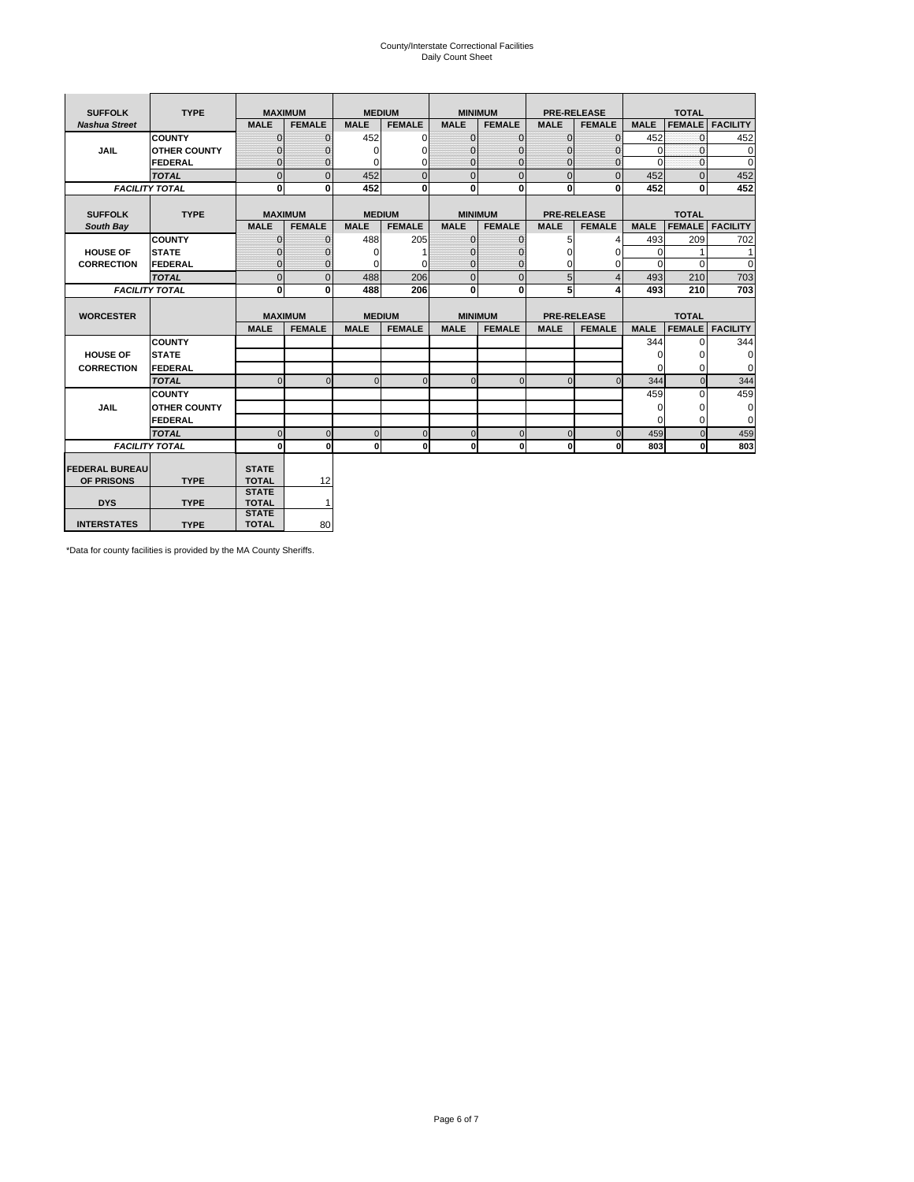# County/Interstate Correctional Facilities Daily Count Sheet

| <b>SUFFOLK</b>        | <b>TYPE</b>           |                              | <b>MAXIMUM</b> | <b>MEDIUM</b> |                |                | <b>MINIMUM</b> |              | <b>PRE-RELEASE</b> |             | <b>TOTAL</b>  |                 |
|-----------------------|-----------------------|------------------------------|----------------|---------------|----------------|----------------|----------------|--------------|--------------------|-------------|---------------|-----------------|
| <b>Nashua Street</b>  |                       | <b>MALE</b>                  | <b>FEMALE</b>  | <b>MALE</b>   | <b>FEMALE</b>  | <b>MALE</b>    | <b>FEMALE</b>  | <b>MALE</b>  | <b>FEMALE</b>      | <b>MALE</b> | <b>FEMALE</b> | <b>FACILITY</b> |
|                       | <b>COUNTY</b>         | $\Omega$                     | $\Omega$       | 452           | 0              | $\mathbf{0}$   | $\Omega$       | $\Omega$     | $\Omega$           | 452         | $\Omega$      | 452             |
| <b>JAIL</b>           | <b>OTHER COUNTY</b>   | $\Omega$                     | 0              | $\Omega$      | 0              | $\Omega$       | $\Omega$       | $\Omega$     | 0                  | $\Omega$    | $\Omega$      | $\mathbf 0$     |
|                       | <b>FEDERAL</b>        | $\Omega$                     | $\Omega$       | 0             | 0              | $\mathbf{0}$   | $\Omega$       | $\Omega$     | $\Omega$           | $\Omega$    | $\Omega$      | $\Omega$        |
|                       | <b>TOTAL</b>          | $\mathbf{0}$                 | $\overline{0}$ | 452           | $\overline{0}$ | $\overline{0}$ | $\overline{0}$ | $\Omega$     | $\Omega$           | 452         | $\Omega$      | 452             |
|                       | <b>FACILITY TOTAL</b> | 0                            | 0              | 452           | 0              | $\mathbf{0}$   | $\bf{0}$       | $\mathbf{0}$ | 0                  | 452         | 0             | 452             |
|                       |                       |                              |                |               |                |                |                |              |                    |             |               |                 |
| <b>SUFFOLK</b>        | <b>TYPE</b>           | <b>MAXIMUM</b>               |                | <b>MEDIUM</b> |                |                | <b>MINIMUM</b> |              | <b>PRE-RELEASE</b> |             | <b>TOTAL</b>  |                 |
| South Bay             |                       | <b>MALE</b>                  | <b>FEMALE</b>  | <b>MALE</b>   | <b>FEMALE</b>  | <b>MALE</b>    | <b>FEMALE</b>  | <b>MALE</b>  | <b>FEMALE</b>      | <b>MALE</b> | <b>FEMALE</b> | <b>FACILITY</b> |
|                       | <b>COUNTY</b>         | $\mathbf{0}$                 | $\mathbf{0}$   | 488           | 205            | $\mathbf{0}$   | $\mathbf{0}$   | 5            | 4                  | 493         | 209           | 702             |
| <b>HOUSE OF</b>       | <b>STATE</b>          | ŋ                            | 0              | $\Omega$      |                | $\Omega$       | $\Omega$       | $\Omega$     | $\Omega$           | $\Omega$    |               | 1               |
| <b>CORRECTION</b>     | FEDERAL               | $\Omega$                     | $\mathbf{0}$   | 0             | 0              | $\mathbf{0}$   | $\mathbf{0}$   | $\Omega$     | 0                  | $\Omega$    | $\Omega$      | $\Omega$        |
|                       | <b>TOTAL</b>          | $\mathbf{0}$                 | $\overline{0}$ | 488           | 206            | $\overline{0}$ | $\overline{0}$ | 5            | $\overline{4}$     | 493         | 210           | 703             |
|                       | <b>FACILITY TOTAL</b> | $\bf{0}$                     | 0              | 488           | 206            | $\mathbf{0}$   | $\bf{0}$       | 5            | 4                  | 493         | 210           | 703             |
|                       |                       |                              |                |               |                |                |                |              |                    |             |               |                 |
| <b>WORCESTER</b>      |                       | <b>MAXIMUM</b>               |                | <b>MEDIUM</b> |                |                | <b>MINIMUM</b> |              | <b>PRE-RELEASE</b> |             | <b>TOTAL</b>  |                 |
|                       |                       | <b>MALE</b>                  | <b>FEMALE</b>  | <b>MALE</b>   | <b>FEMALE</b>  | <b>MALE</b>    | <b>FEMALE</b>  | <b>MALE</b>  | <b>FEMALE</b>      | <b>MALE</b> | <b>FEMALE</b> | <b>FACILITY</b> |
|                       | <b>COUNTY</b>         |                              |                |               |                |                |                |              |                    | 344         | $\Omega$      | 344             |
| <b>HOUSE OF</b>       | <b>STATE</b>          |                              |                |               |                |                |                |              |                    | 0           | 0             | 0               |
| <b>CORRECTION</b>     | FEDERAL               |                              |                |               |                |                |                |              |                    | $\Omega$    | $\Omega$      | $\Omega$        |
|                       | <b>TOTAL</b>          | $\Omega$                     | $\Omega$       | $\Omega$      | $\overline{0}$ | $\Omega$       | $\mathbf{0}$   | $\Omega$     | $\Omega$           | 344         | $\Omega$      | 344             |
|                       | <b>COUNTY</b>         |                              |                |               |                |                |                |              |                    | 459         | $\Omega$      | 459             |
| <b>JAIL</b>           | <b>OTHER COUNTY</b>   |                              |                |               |                |                |                |              |                    | 0           | 0             | 0               |
|                       | FEDERAL               |                              |                |               |                |                |                |              |                    | $\Omega$    | $\Omega$      | $\Omega$        |
|                       | <b>TOTAL</b>          | $\Omega$                     | $\Omega$       | $\Omega$      | $\mathbf{0}$   | $\mathbf 0$    | $\mathbf 0$    | $\Omega$     | $\Omega$           | 459         | $\Omega$      | 459             |
|                       | <b>FACILITY TOTAL</b> | 0                            | $\mathbf{0}$   | $\Omega$      | $\mathbf{0}$   | $\mathbf{0}$   | $\bf{0}$       | $\mathbf 0$  | 0                  | 803         | O             | 803             |
|                       |                       |                              |                |               |                |                |                |              |                    |             |               |                 |
| <b>FEDERAL BUREAU</b> |                       | <b>STATE</b>                 |                |               |                |                |                |              |                    |             |               |                 |
| OF PRISONS            | <b>TYPE</b>           | <b>TOTAL</b><br><b>STATE</b> | 12             |               |                |                |                |              |                    |             |               |                 |
| <b>DYS</b>            | <b>TYPE</b>           | <b>TOTAL</b>                 | 1              |               |                |                |                |              |                    |             |               |                 |
|                       |                       | <b>STATE</b>                 |                |               |                |                |                |              |                    |             |               |                 |
| <b>INTERSTATES</b>    | <b>TYPE</b>           | <b>TOTAL</b>                 | 80             |               |                |                |                |              |                    |             |               |                 |

\*Data for county facilities is provided by the MA County Sheriffs.